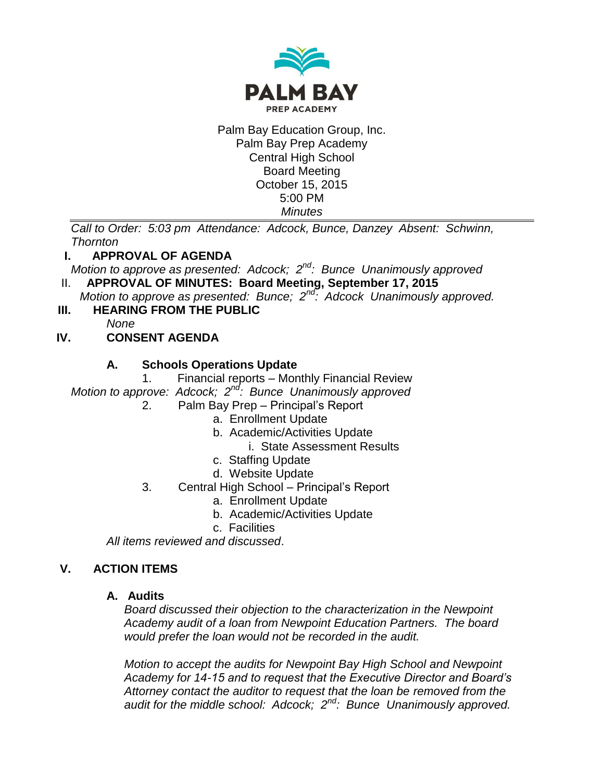

Palm Bay Education Group, Inc. Palm Bay Prep Academy Central High School Board Meeting October 15, 2015 5:00 PM *Minutes*

*Call to Order: 5:03 pm Attendance: Adcock, Bunce, Danzey Absent: Schwinn, Thornton*

## **I. APPROVAL OF AGENDA**

*Motion to approve as presented: Adcock; 2nd: Bunce Unanimously approved*

II. **APPROVAL OF MINUTES: Board Meeting, September 17, 2015**

*Motion to approve as presented: Bunce; 2nd: Adcock Unanimously approved.* 

**III. HEARING FROM THE PUBLIC**

*None*

# **IV. CONSENT AGENDA**

## **A. Schools Operations Update**

1. Financial reports – Monthly Financial Review

*Motion to approve: Adcock; 2nd: Bunce Unanimously approved*

- 2. Palm Bay Prep Principal's Report
	- a. Enrollment Update
	- b. Academic/Activities Update
		- i. State Assessment Results
	- c. Staffing Update
	- d. Website Update
- 3. Central High School Principal's Report
	- a. Enrollment Update
	- b. Academic/Activities Update
	- c. Facilities

*All items reviewed and discussed*.

## **V. ACTION ITEMS**

## **A. Audits**

*Board discussed their objection to the characterization in the Newpoint Academy audit of a loan from Newpoint Education Partners. The board would prefer the loan would not be recorded in the audit.* 

*Motion to accept the audits for Newpoint Bay High School and Newpoint Academy for 14-15 and to request that the Executive Director and Board's Attorney contact the auditor to request that the loan be removed from the audit for the middle school: Adcock; 2nd: Bunce Unanimously approved.*